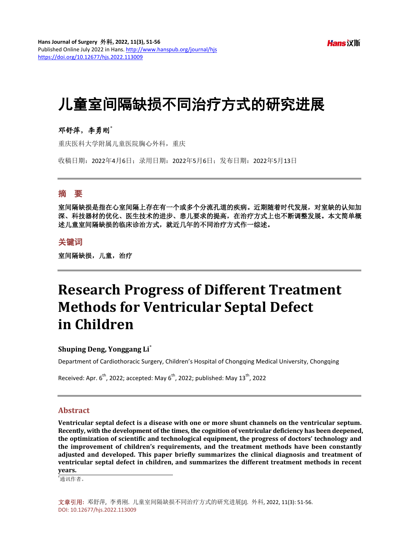**Hans** 汉斯

# 儿童室间隔缺损不同治疗方式的研究进展

## 邓舒萍,李勇刚**\***

重庆医科大学附属儿童医院胸心外科,重庆

收稿日期:2022年4月6日;录用日期:2022年5月6日;发布日期:2022年5月13日

## 摘 要

室间隔缺损是指在心室间隔上存在有一个或多个分流孔道的疾病。近期随着时代发展,对室缺的认知加 深、科技器材的优化、医生技术的进步、患儿要求的提高,在治疗方式上也不断调整发展。本文简单概 述儿童室间隔缺损的临床诊治方式,就近几年的不同治疗方式作一综述。

## 关键词

室间隔缺损,儿童,治疗

## **Research Progress of Different Treatment Methods for Ventricular Septal Defect in Children**

## **Shuping Deng, Yonggang Li\***

Department of Cardiothoracic Surgery, Children's Hospital of Chongqing Medical University, Chongqing

Received: Apr.  $6^{th}$ , 2022; accepted: May  $6^{th}$ , 2022; published: May 13 $^{th}$ , 2022

## **Abstract**

**Ventricular septal defect is a disease with one or more shunt channels on the ventricular septum. Recently, with the development of the times, the cognition of ventricular deficiency has been deepened, the optimization of scientific and technological equipment, the progress of doctors' technology and the improvement of children's requirements, and the treatment methods have been constantly adjusted and developed. This paper briefly summarizes the clinical diagnosis and treatment of ventricular septal defect in children, and summarizes the different treatment methods in recent years.**

\* 通讯作者。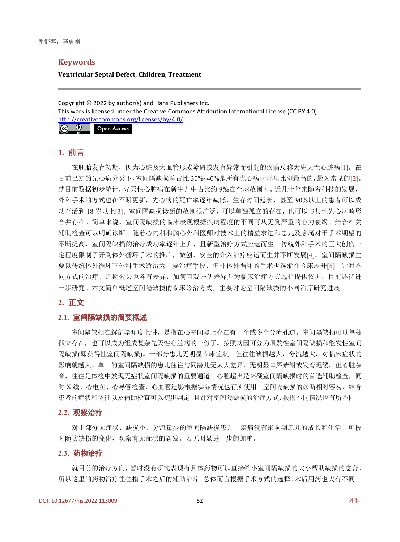## **Keywords**

#### **Ventricular Septal Defect, Children, Treatment**

Copyright © 2022 by author(s) and Hans Publishers Inc. This work is licensed under the Creative Commons Attribution International License (CC BY 4.0). <http://creativecommons.org/licenses/by/4.0/>

 $\odot$  $\sqrt{c}$ Open Access

## **1.** 前言

在胚胎发育初期,因为心脏及大血管形成障碍或发育异常而引起的疾病总称为先天性心脏病[\[1\]](#page-4-0)。在 目前已知的先心病分类下,室间隔缺损总占比 30%~40%是所有先心病畸形里比例最高的,最为常见的[\[2\]](#page-4-1)。 就目前数据初步统计,先天性心脏病在新生儿中占比约 9‰在全球范围内。近几十年来随着科技的发展, 外科手术的方式也在不断更新,先心病的死亡率逐年减低,生存时间延长,甚至 90%以上的患者可以成 功存活到 18 岁以上[\[3\]](#page-4-2)。室间隔缺损诊断的范围很广泛,可以单独孤立的存在,也可以与其他先心病畸形 合并存在。简单来说,室间隔缺损的临床表现根据疾病程度的不同可从无到严重的心力衰竭。结合相关 辅助检查可以明确诊断。随着心内科和胸心外科医师对技术上的精益求进和患儿及家属对于手术期望的 不断提高,室间隔缺损的治疗成功率逐年上升,且新型治疗方式应运而生。传统外科手术的巨大创伤一 定程度限制了开胸体外循环手术的推广,微创、安全的介入治疗应运而生并不断发展[\[4\]](#page-4-3)。室间隔缺损主 要以传统体外循环下外科手术矫治为主要治疗手段,但非体外循环的手术也逐渐在临床展开[\[5\]](#page-4-4)。针对不 同方式的治疗,近期效果也各有差异,如何直观评估差异并为临床治疗方式选择提供依据,目前还待进 一步研究。本文简单概述室间隔缺损的临床诊治方式,主要讨论室间隔缺损的不同治疗研究进展。

## **2.** 正文

## **2.1.** 室间隔缺损的简要概述

室间隔缺损在解剖学角度上讲,是指在心室间隔上存在有一个或多个分流孔道。室间隔缺损可以单独 孤立存在,也可以成为组成复杂先天性心脏病的一份子。按照病因可分为原发性室间隔缺损和继发性室间 隔缺损(即获得性室间隔缺损)。一部分患儿无明显临床症状。但往往缺损越大,分流越大,对临床症状的 影响就越大。单一的室间隔缺损的患儿往往与同龄儿无太大差异,无明显口唇紫绀或发育迟缓。但心脏杂 音,往往是体检中发现无症状室间隔缺损的重要通道。心脏超声是怀疑室间隔缺损时的首选辅助检查,同 时 X 线、心电图、心导管检查、心血管造影根据实际情况也有所使用。室间隔缺损的诊断相对容易,结合 患者的症状和体征以及辅助检查可以初步判定。且针对室间隔缺损的治疗方式,根据不同情况也有所不同。

#### **2.2.** 观察治疗

对于部分无症状、缺损小、分流量少的室间隔缺损患儿,疾病没有影响到患儿的成长和生活,可按 时随访缺损的变化,观察有无症状的新发。若无明显进一步的加重。

## **2.3.** 药物治疗

就目前的治疗方向,暂时没有研究表现有具体药物可以直接缩小室间隔缺损的大小帮助缺损的愈合。 所以这里的药物治疗往往指手术之后的辅助治疗。总体而言根据手术方式的选择,术后用药也大有不同。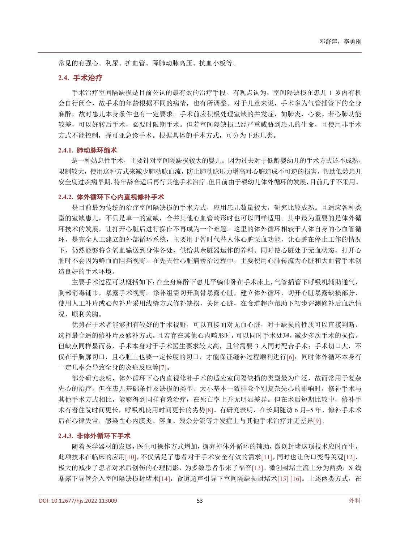常见的有强心、利尿、扩血管、降肺动脉高压、抗血小板等。

#### **2.4.** 手术治疗

手术治疗室间隔缺损是目前公认的最有效的治疗手段。有观点认为,室间隔缺损在患儿 1 岁内有机 会自行闭合,故手术的年龄根据不同的病情,也有所调整。对于儿童来说,手术多为气管插管下的全身 麻醉,故对患儿本身条件也有一定要求。手术前应积极处理室缺的并发症,如肺炎、心衰。若心肺功能 较差,可以好转后手术,必要时限期手术。但若室间隔缺损已经严重威胁到患儿的生命,且使用非手术 方式不能控制,择可亚急诊手术。根据具体的手术方式,可分为下述几类。

#### **2.4.1.** 肺动脉环缩术

是一种姑息性手术,主要针对室间隔缺损较大的婴儿。因为过去对于低龄婴幼儿的手术方式还不成熟, 限制较大,使用这种方式来减少肺动脉血流,防止肺动脉压力增高对心脏造成不可逆的损害,帮助低龄患儿 安全度过疾病早期,待年龄合适后再行其他手术治疗。但目前由于婴幼儿体外循环的发展,目前几乎不采用。

#### **2.4.2.** 体外循环下心内直视修补手术

是目前最为传统的治疗室间隔缺损的手术方式,应用患儿数量较大,研究比较成熟。且适应各种类 型的室缺患儿,不只是单一的室缺,合并其他心血管畸形时也可以同样适用。其中最为重要的是体外循 环技术的发展,让打开心脏后进行操作不再成为一个难题。这里的体外循环相较于人体自身的心血管循 环,是完全人工建立的外部循环系统,主要用于暂时代替人体心脏泵血功能,让心脏在停止工作的情况 下,仍然能够将含氧血输送到身体各处,供给其余脏器运作的养料。同时使心脏处于无血状态,打开心 脏时不会因为鲜血而阻挡视野。在先天性心脏病矫治过程中,主要使用心肺转流为心脏和大血管手术创 造良好的手术环境。

主要手术过程可以概括如下:在全身麻醉下患儿平躺仰卧在手术床上,气管插管下呼吸机辅助通气, 胸部消毒铺巾,暴露手术视野。修补组需切开胸骨暴露心脏,建立体外循环,切开心脏暴露缺损部分, 使用人工补片或心包补片采用线缝方式修补缺损,关闭心脏,在食道超声帮助下初步评测修补后血流情 况,顺利关胸。

优势在于术者能够拥有较好的手术视野,可以直接面对无血心脏,对于缺损的性质可以直接判断, 选择最合适的修补片及修补方式。且若存在其他心内畸形时,可以同时手术处理,减少多次手术的损伤。 但缺点同样显而易,手术本身对于手术医生要求较大高,且常需要 3 人同时配合手术;手术切口大,不 仅在于胸廓切口,且心脏上也要一定长度的切口,才能保证缝补过程顺利进行[\[6\]](#page-4-5);同时体外循环本身有 一定几率会导致全身的炎症反应等[\[7\]](#page-4-6)。

部分研究表明,体外循环下心内直视修补手术的适应室间隔缺损的类型最为广泛,故而常用于复杂 先心的治疗。但在患儿基础条件及缺损的类型、大小基本一致排除个别复杂先心的影响时,修补手术与 其他手术方式相比,能够得到同样有效治疗,在死亡率上并无明显差异。但在术后短期比较中,修补手 术有着住院时间更长,呼吸机使用时间更长的劣势[\[8\]](#page-4-7)。有研究表明,在长期随访 6 月~5 年,修补手术术 后在心律失常,感染性心内膜炎、溶血、残余分流等并发症上与其他手术治疗并无差异[\[9\]](#page-4-8)。

#### **2.4.3.** 非体外循环下手术

随着医学器材的发展,医生可操作方式增加,摒弃掉体外循环的辅助,微创封堵这项技术应时而生。 此项技术在临床的应用[10],不仅满足了患者对于手术安全有效的需求[\[11\]](#page-4-9),同时也让伤口变得美观[\[12\]](#page-4-10), 极大的减少了患者对术后创伤的心理阴影,为多数患者带来了福音[\[13\]](#page-4-11)。微创封堵主流上分为两类: X 线 暴露下导管介入室间隔缺损封堵术[\[14\]](#page-4-12),食道超声引导下室间隔缺损封堵术[15] [16]。上述两类方式,在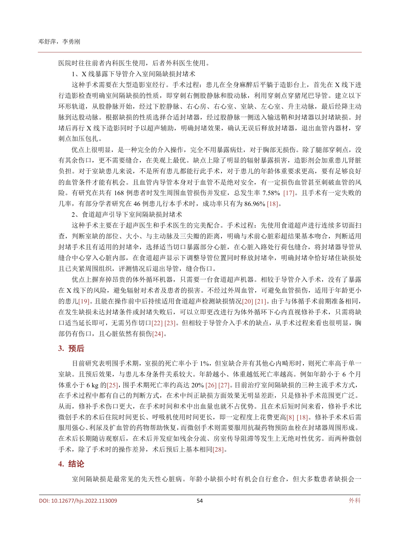医院时往往前者内科医生使用,后者外科医生使用。

1、X 线暴露下导管介入室间隔缺损封堵术

这种手术需要在大型造影室经行。手术过程: 患儿在全身麻醉后平躺于造影台上, 首先在 X 线下进 行造影检查明确室间隔缺损的性质,即穿刺右侧股静脉和股动脉,利用穿刺点穿猪尾巴导管。建立以下 环形轨道,从股静脉开始,经过下腔静脉、右心房、右心室、室缺、左心室、升主动脉,最后经降主动 脉到达股动脉。根据缺损的性质选择合适封堵器,经过股静脉一侧送入输送鞘和封堵器以封堵缺损。封 堵后再行 X 线下造影同时予以超声辅助,明确封堵效果,确认无误后释放封堵器,退出血管内器材,穿 刺点加压包扎。

优点上很明显,是一种完全的介入操作,完全不用暴露病灶,对于胸部无损伤。除了腿部穿刺点,没 有其余伤口,更不需要缝合,在美观上最优。缺点上除了明显的辐射暴露损害,造影剂会加重患儿肾脏 负担。对于室缺患儿来说,不是所有患儿都能行此手术,对于患儿的年龄体重要求更高,要有足够良好 的血管条件才能有机会。且血管内导管本身对于血管不是绝对安全,有一定损伤血管甚至刺破血管的风 险。有研究在共有 168 例患者时发生周围血管损伤并发症,总发生率 7.58% [\[17\]](#page-4-13)。且手术有一定失败的 几率,有部分学者研究在 46 例患儿行本手术时,成功率只有为 86.96% [\[18\]](#page-5-0)。

2、食道超声引导下室间隔缺损封堵术

这种手术主要在于超声医生和手术医生的完美配合。手术过程:先使用食道超声进行连续多切面扫 查,判断室缺的部位、大小、与主动脉及三尖瓣的距离,明确与术前心脏彩超结果基本吻合,判断适用 封堵手术且有适用的封堵伞,选择适当切口暴露部分心脏,在心脏入路处行荷包缝合,将封堵器导管从 缝合中心穿入心脏内部,在食道超声显示下调整导管位置同时释放封堵伞,明确封堵伞恰好堵住缺损处 且已夹紧周围组织,评测情况后退出导管,缝合伤口。

优点上摒弃掉昂贵的体外循环机器,只需要一台食道超声机器。相较于导管介入手术,没有了暴露 在 X 线下的风险,避免辐射对术者及患者的损害。不经过外周血管,可避免血管损伤,适用于年龄更小 的患儿[19]。且能在操作前中后持续适用食道超声检测缺损情况[\[20\]](#page-5-1) [\[21\]](#page-5-2)。由于与体循手术前期准备相同, 在发生缺损未达封堵条件或封堵失败后,可以立即更改进行为体外循环下心内直视修补手术,只需将缺 口适当延长即可,无需另作切口[\[22\]](#page-5-3) [\[23\]](#page-5-4)。但相较于导管介入手术的缺点,从手术过程来看也很明显,胸 部仍有伤口,且心脏依然有损伤[24]。

#### **3.** 预后

目前研究表明围手术期,室损的死亡率小于 1%,但室缺合并有其他心内畸形时,则死亡率高于单一 室缺。且预后效果,与患儿本身条件关系较大。年龄越小、体重越低死亡率越高。例如年龄小于 6 个月 体重小于 6 kg 的[\[25\]](#page-5-5), 围手术期死亡率约高达 20% [\[26\]](#page-5-6) [\[27\]](#page-5-7)。目前治疗室间隔缺损的三种主流手术方式, 在手术过程中都有自己的判断方式,在术中纠正缺损方面效果无明显差距,只是修补手术范围更广泛。 从而,修补手术伤口更大,在手术时间和术中出血量也就不占优势。且在术后短时间来看,修补手术比 微创手术的术后住院时间更长、呼吸机使用时间更长,即一定程度上花费更高[\[8\]](#page-4-7) [\[18\]](#page-5-0)。修补手术术后需 服用强心、利尿及扩血管的药物帮助恢复,而微创手术则需要服用抗凝药物预防血栓在封堵器周围形成。 在术后长期随访观察后,在术后并发症如残余分流、房室传导阻滞等发生上无绝对性优劣。而两种微创 手术,除了手术时的操作差异,术后预后上基本相同[28]。

#### **4.** 结论

室间隔缺损是最常见的先天性心脏病。年龄小缺损小时有机会自行愈合,但大多数患者缺损会一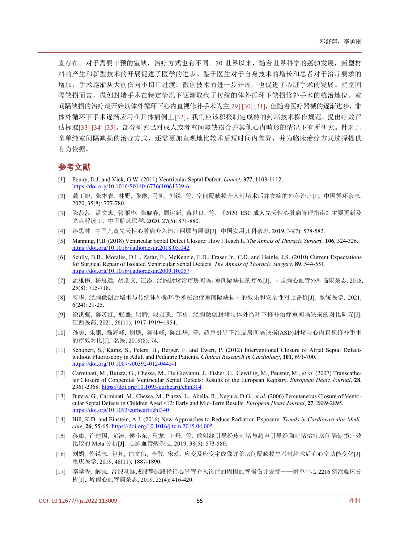直存在。对于需要干预的室缺,治疗方式也有不同。20 世界以来,随着世界科学的蓬勃发展,新型材 料的产生和新型技术的开展促进了医学的进步。鉴于医生对于自身技术的增长和患者对于治疗要求的 增加,手术逐渐从大创伤向小切口过渡。微创技术的进一步开展,也促进了心脏手术的发展。就室间 隔缺损而言,微创封堵手术在特定情况下逐渐取代了传统的体外循环下缺损修补手术的统治地位。室 间隔缺损的治疗最开始以体外循环下心内直视修补手术为主[\[29\]](#page-5-8) [\[30\]](#page-5-9) [\[31\]](#page-5-10),但随着医疗器械的逐渐进步,非 体外循环下手术逐渐应用在具体病例上[\[32\]](#page-5-11),我们应该积极制定成熟的封堵技术操作规范,提出疗效评 估标准[33] [34] [\[35\]](#page-5-12)。部分研究已对成人或者室间隔缺损合并其他心内畸形的情况下有所研究。针对儿 童单纯室间隔缺损的治疗方式,还需更加直观地比较术后短时间内差异,并为临床治疗方式选择提供 有力依据。

## 参考文献

- <span id="page-4-0"></span>[1] Penny, D.J. and Vick, G.W. (2011) Ventricular Septal Defect. *Lancet*, **377**, 1103-1112. [https://doi.org/10.1016/S0140-6736\(10\)61339-6](https://doi.org/10.1016/S0140-6736(10)61339-6)
- <span id="page-4-1"></span>[2] 龚丁旭, 张本青, 林野, 张琳, 马凯, 刘锐, 等. 室间隔缺损介入封堵术后并发症的外科治疗[J]. 中国循环杂志, 2020, 35(8): 777-780.
- <span id="page-4-2"></span>[3] 陈莎莎. 潘文志, 管丽华, 张晓春, 周达新, 蒋世良, 等. 《2020 ESC 成人先天性心脏病管理指南》主要更新及 亮点解读[J]. 中国临床医学, 2020, 27(5): 871-880.
- <span id="page-4-3"></span>[4] 泮思林. 中国儿童先天性心脏病介入治疗回顾与展望[J]. 中国实用儿科杂志, 2019, 34(7): 578-582.
- <span id="page-4-4"></span>[5] Manning, P.B. (2018) Ventricular Septal Defect Closure: How I Teach It. *The Annals of Thoracic Surgery*, **106**, 324-326. <https://doi.org/10.1016/j.athoracsur.2018.05.042>
- <span id="page-4-5"></span>[6] Scully, B.B., Morales, D.L., Zafar, F., McKenzie, E.D., Fraser Jr., C.D. and Heinle, J.S. (2010) Current Expectations for Surgical Repair of Isolated Ventricular Septal Defects. *The Annals of Thoracic Surgery*, **89**, 544-551. <https://doi.org/10.1016/j.athoracsur.2009.10.057>
- <span id="page-4-6"></span>[7] 孟雄伟, 杨思远, 胡选义, 江添. 经胸封堵治疗房间隔、室间隔缺损的疗效[J]. 中国胸心血管外科临床杂志, 2018, 25(8): 715-718.
- <span id="page-4-7"></span>[8] 虞华. 经胸微创封堵术与传统体外循环手术在治疗室间隔缺损中的效果和安全性对比评价[J]. 系统医学, 2021, 6(24): 21-25.
- <span id="page-4-8"></span>[9] 涂洪强, 陈苏江, 张盛, 明腾, 段君凯, 邹勇. 经胸微创封堵与体外循环下修补治疗室间隔缺损的对比研究[J]. 江西医药, 2021, 56(11): 1917-1919+1954.
- [10] 孙勇, 朱鹏, 强海峰, 谢鹏, 陈林峰, 陈江华, 等. 超声引导下经皮房间隔缺损(ASD)封堵与心内直视修补手术 的疗效对比[J]. 名医, 2019(8): 74.
- <span id="page-4-9"></span>[11] Schubert, S., Kainz, S., Peters, B., Berger, F. and Ewert, P. (2012) Interventional Closure of Atrial Septal Defects without Fluoroscopy in Adult and Pediatric Patients. *Clinical Research in Cardiology*, **101**, 691-700. <https://doi.org/10.1007/s00392-012-0445-1>
- <span id="page-4-10"></span>[12] Carminati, M., Butera, G., Chessa, M., De Giovanni, J., Fisher, G., Gewillig, M., Peuster, M., *et al*. (2007) Transcatheter Closure of Congenital Ventricular Septal Defects: Results of the European Registry. *European Heart Journal*, **28**, 2361-2368. <https://doi.org/10.1093/eurheartj/ehm314>
- <span id="page-4-11"></span>[13] Butera, G., Carminati, M., Chessa, M., Piazza, L., Abella, R., Negura, D.G., *et al*. (2006) Percutaneous Closure of Ventricular Septal Defects in Children Aged <12: Early and Mid-Term Results. *European Heart Journal*, **27**, 2889-2895. <https://doi.org/10.1093/eurheartj/ehl340>
- <span id="page-4-12"></span>[14] Hill, K.D. and Einstein, A.J. (2016) New Approaches to Reduce Radiation Exposure. *Trends in Cardiovascular Medicine*, **26**, 55-65. <https://doi.org/10.1016/j.tcm.2015.04.005>
- [15] 移康, 许建国, 尤涛, 侯小东, 马龙, 王丹, 等. 放射线引导经皮封堵与超声引导经胸封堵治疗房间隔缺损疗效 比较的 Meta 分析[J]. 心肺血管病杂志, 2019, 38(5): 573-580.
- [16] 刘娟, 倪锐志, 包凡, 白文伟, 李敬, 宋蕊. 应变及应变率成像评价房间隔缺损患者封堵术后右心室功能变化[J]. 重庆医学, 2019, 48(11): 1887-1890.
- <span id="page-4-13"></span>[17] 李学香, 解强. 经股动脉或股静脉路径行心导管介入诊疗的周围血管损伤并发症——附单中心 2216 例次临床分 析[J]. 岭南心血管病杂志, 2019, 25(4): 416-420.